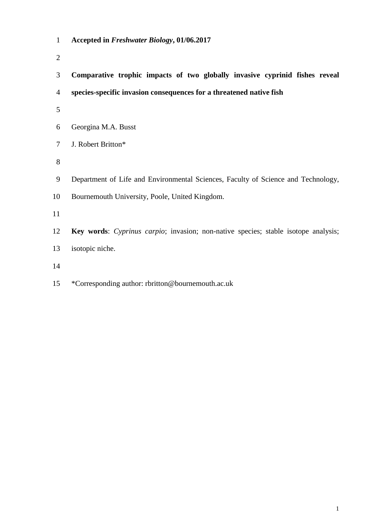- **Accepted in** *Freshwater Biology***, 01/06.2017**
- 
- **Comparative trophic impacts of two globally invasive cyprinid fishes reveal**
- **species-specific invasion consequences for a threatened native fish**
- 
- Georgina M.A. Busst
- J. Robert Britton\*
- 
- Department of Life and Environmental Sciences, Faculty of Science and Technology,
- Bournemouth University, Poole, United Kingdom.
- 
- **Key words**: *Cyprinus carpio*; invasion; non-native species; stable isotope analysis; isotopic niche.
- 
- \*Corresponding author: rbritton@bournemouth.ac.uk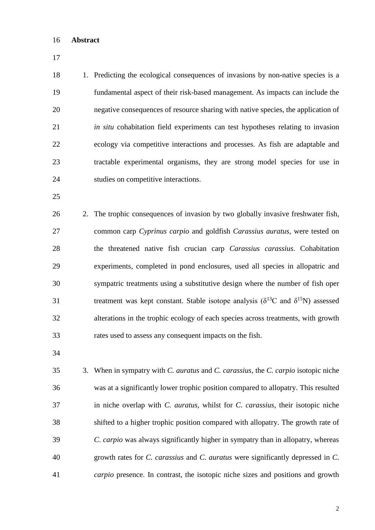## **Abstract**

 1. Predicting the ecological consequences of invasions by non-native species is a fundamental aspect of their risk-based management. As impacts can include the negative consequences of resource sharing with native species, the application of *in situ* cohabitation field experiments can test hypotheses relating to invasion ecology via competitive interactions and processes. As fish are adaptable and tractable experimental organisms, they are strong model species for use in studies on competitive interactions.

 2. The trophic consequences of invasion by two globally invasive freshwater fish, common carp *Cyprinus carpio* and goldfish *Carassius auratus*, were tested on the threatened native fish crucian carp *Carassius carassius*. Cohabitation experiments, completed in pond enclosures, used all species in allopatric and sympatric treatments using a substitutive design where the number of fish oper 31 treatment was kept constant. Stable isotope analysis ( $\delta^{13}$ C and  $\delta^{15}$ N) assessed alterations in the trophic ecology of each species across treatments, with growth rates used to assess any consequent impacts on the fish.

 3. When in sympatry with *C. auratus* and *C. carassius*, the *C. carpio* isotopic niche was at a significantly lower trophic position compared to allopatry. This resulted in niche overlap with *C. auratus*, whilst for *C. carassius*, their isotopic niche shifted to a higher trophic position compared with allopatry. The growth rate of *C*. *carpio* was always significantly higher in sympatry than in allopatry, whereas growth rates for *C. carassius* and *C. auratus* were significantly depressed in *C. carpio* presence. In contrast, the isotopic niche sizes and positions and growth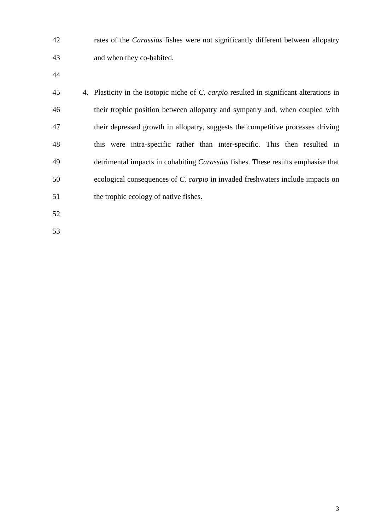rates of the *Carassius* fishes were not significantly different between allopatry and when they co-habited.

 4. Plasticity in the isotopic niche of *C. carpio* resulted in significant alterations in their trophic position between allopatry and sympatry and, when coupled with their depressed growth in allopatry, suggests the competitive processes driving this were intra-specific rather than inter-specific. This then resulted in detrimental impacts in cohabiting *Carassius* fishes. These results emphasise that ecological consequences of *C. carpio* in invaded freshwaters include impacts on 51 the trophic ecology of native fishes.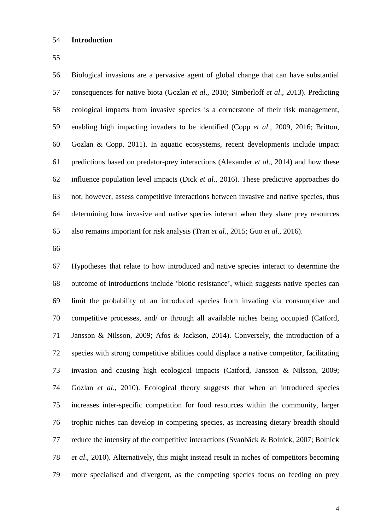## **Introduction**

 Biological invasions are a pervasive agent of global change that can have substantial consequences for native biota (Gozlan *et al*., 2010; Simberloff *et al*., 2013). Predicting ecological impacts from invasive species is a cornerstone of their risk management, enabling high impacting invaders to be identified (Copp *et al*., 2009, 2016; Britton, Gozlan & Copp, 2011). In aquatic ecosystems, recent developments include impact predictions based on predator-prey interactions (Alexander *et al*., 2014) and how these influence population level impacts (Dick *et al*., 2016). These predictive approaches do not, however, assess competitive interactions between invasive and native species, thus determining how invasive and native species interact when they share prey resources also remains important for risk analysis (Tran *et al*., 2015; Guo *et al*., 2016).

 Hypotheses that relate to how introduced and native species interact to determine the outcome of introductions include 'biotic resistance', which suggests native species can limit the probability of an introduced species from invading via consumptive and competitive processes, and/ or through all available niches being occupied (Catford, Jansson & Nilsson, 2009; Afos & Jackson, 2014). Conversely, the introduction of a species with strong competitive abilities could displace a native competitor, facilitating invasion and causing high ecological impacts (Catford, Jansson & Nilsson, 2009; Gozlan *et al*., 2010). Ecological theory suggests that when an introduced species increases inter-specific competition for food resources within the community, larger trophic niches can develop in competing species, as increasing dietary breadth should reduce the intensity of the competitive interactions (Svanbäck & Bolnick, 2007; Bolnick *et al*., 2010). Alternatively, this might instead result in niches of competitors becoming more specialised and divergent, as the competing species focus on feeding on prey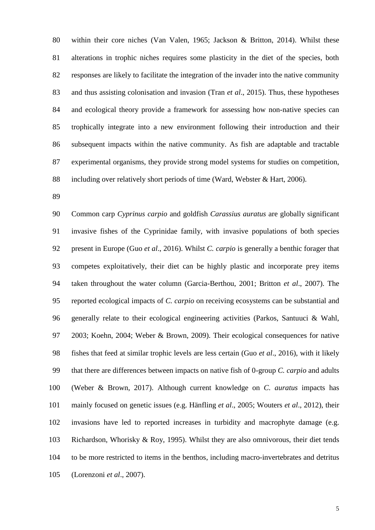within their core niches (Van Valen, 1965; Jackson & Britton, 2014). Whilst these alterations in trophic niches requires some plasticity in the diet of the species, both responses are likely to facilitate the integration of the invader into the native community and thus assisting colonisation and invasion (Tran *et al*., 2015). Thus, these hypotheses and ecological theory provide a framework for assessing how non-native species can trophically integrate into a new environment following their introduction and their subsequent impacts within the native community. As fish are adaptable and tractable experimental organisms, they provide strong model systems for studies on competition, including over relatively short periods of time (Ward, Webster & Hart, 2006).

 Common carp *Cyprinus carpio* and goldfish *Carassius auratus* are globally significant invasive fishes of the Cyprinidae family, with invasive populations of both species present in Europe (Guo *et al*., 2016). Whilst *C. carpio* is generally a benthic forager that competes exploitatively, their diet can be highly plastic and incorporate prey items taken throughout the water column (Garcia-Berthou, 2001; Britton *et al*., 2007). The reported ecological impacts of *C. carpio* on receiving ecosystems can be substantial and generally relate to their ecological engineering activities (Parkos, Santuuci & Wahl, 2003; Koehn, 2004; Weber & Brown, 2009). Their ecological consequences for native fishes that feed at similar trophic levels are less certain (Guo *et al*., 2016), with it likely that there are differences between impacts on native fish of 0-group *C. carpio* and adults (Weber & Brown, 2017). Although current knowledge on *C. auratus* impacts has mainly focused on genetic issues (e.g. Hänfling *et al*., 2005; Wouters *et al*., 2012), their invasions have led to reported increases in turbidity and macrophyte damage (e.g. Richardson, Whorisky & Roy, 1995). Whilst they are also omnivorous, their diet tends to be more restricted to items in the benthos, including macro-invertebrates and detritus (Lorenzoni *et al*., 2007).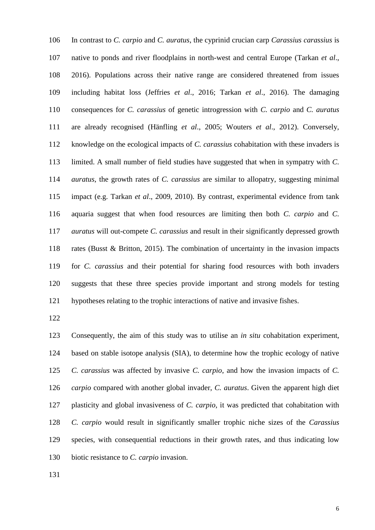In contrast to *C. carpio* and *C. auratus*, the cyprinid crucian carp *Carassius carassius* is native to ponds and river floodplains in north-west and central Europe (Tarkan *et al*., 2016). Populations across their native range are considered threatened from issues including habitat loss (Jeffries *et al*., 2016; Tarkan *et al*., 2016). The damaging consequences for *C. carassius* of genetic introgression with *C. carpio* and *C. auratus* are already recognised (Hänfling *et al*., 2005; Wouters *et al*., 2012). Conversely, knowledge on the ecological impacts of *C. carassius* cohabitation with these invaders is limited. A small number of field studies have suggested that when in sympatry with *C. auratus*, the growth rates of *C. carassius* are similar to allopatry, suggesting minimal impact (e.g. Tarkan *et al*., 2009, 2010). By contrast, experimental evidence from tank aquaria suggest that when food resources are limiting then both *C. carpio* and *C. auratus* will out-compete *C. carassius* and result in their significantly depressed growth rates (Busst & Britton, 2015). The combination of uncertainty in the invasion impacts for *C. carassius* and their potential for sharing food resources with both invaders suggests that these three species provide important and strong models for testing hypotheses relating to the trophic interactions of native and invasive fishes.

 Consequently, the aim of this study was to utilise an *in situ* cohabitation experiment, based on stable isotope analysis (SIA), to determine how the trophic ecology of native *C. carassius* was affected by invasive *C. carpio*, and how the invasion impacts of *C. carpio* compared with another global invader, *C. auratus*. Given the apparent high diet plasticity and global invasiveness of *C. carpio*, it was predicted that cohabitation with *C. carpio* would result in significantly smaller trophic niche sizes of the *Carassius* species, with consequential reductions in their growth rates, and thus indicating low biotic resistance to *C. carpio* invasion.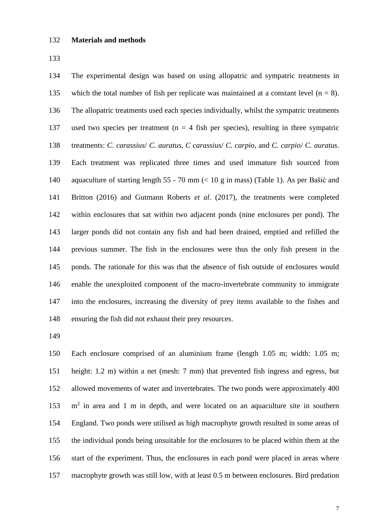## **Materials and methods**

 The experimental design was based on using allopatric and sympatric treatments in 135 which the total number of fish per replicate was maintained at a constant level  $(n = 8)$ . The allopatric treatments used each species individually, whilst the sympatric treatments 137 used two species per treatment ( $n = 4$  fish per species), resulting in three sympatric treatments: *C. carassius*/ *C. auratus*, *C carassius*/ *C. carpio*, and *C. carpio*/ *C. auratus*. Each treatment was replicated three times and used immature fish sourced from aquaculture of starting length 55 - 70 mm (< 10 g in mass) (Table 1). As per Bašić and Britton (2016) and Gutmann Roberts *et al*. (2017), the treatments were completed within enclosures that sat within two adjacent ponds (nine enclosures per pond). The larger ponds did not contain any fish and had been drained, emptied and refilled the previous summer. The fish in the enclosures were thus the only fish present in the ponds. The rationale for this was that the absence of fish outside of enclosures would enable the unexploited component of the macro-invertebrate community to immigrate into the enclosures, increasing the diversity of prey items available to the fishes and ensuring the fish did not exhaust their prey resources.

 Each enclosure comprised of an aluminium frame (length 1.05 m; width: 1.05 m; height: 1.2 m) within a net (mesh: 7 mm) that prevented fish ingress and egress, but allowed movements of water and invertebrates. The two ponds were approximately 400 153 m<sup>2</sup> in area and 1 m in depth, and were located on an aquaculture site in southern England. Two ponds were utilised as high macrophyte growth resulted in some areas of the individual ponds being unsuitable for the enclosures to be placed within them at the start of the experiment. Thus, the enclosures in each pond were placed in areas where macrophyte growth was still low, with at least 0.5 m between enclosures. Bird predation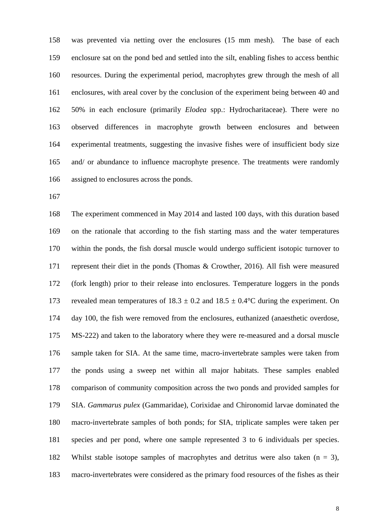was prevented via netting over the enclosures (15 mm mesh). The base of each enclosure sat on the pond bed and settled into the silt, enabling fishes to access benthic resources. During the experimental period, macrophytes grew through the mesh of all enclosures, with areal cover by the conclusion of the experiment being between 40 and 50% in each enclosure (primarily *Elodea* spp.: Hydrocharitaceae). There were no observed differences in macrophyte growth between enclosures and between experimental treatments, suggesting the invasive fishes were of insufficient body size and/ or abundance to influence macrophyte presence. The treatments were randomly assigned to enclosures across the ponds.

 The experiment commenced in May 2014 and lasted 100 days, with this duration based on the rationale that according to the fish starting mass and the water temperatures within the ponds, the fish dorsal muscle would undergo sufficient isotopic turnover to represent their diet in the ponds (Thomas & Crowther, 2016). All fish were measured (fork length) prior to their release into enclosures. Temperature loggers in the ponds 173 revealed mean temperatures of  $18.3 \pm 0.2$  and  $18.5 \pm 0.4$ °C during the experiment. On day 100, the fish were removed from the enclosures, euthanized (anaesthetic overdose, MS-222) and taken to the laboratory where they were re-measured and a dorsal muscle sample taken for SIA. At the same time, macro-invertebrate samples were taken from the ponds using a sweep net within all major habitats. These samples enabled comparison of community composition across the two ponds and provided samples for SIA. *Gammarus pulex* (Gammaridae), Corixidae and Chironomid larvae dominated the macro-invertebrate samples of both ponds; for SIA, triplicate samples were taken per species and per pond, where one sample represented 3 to 6 individuals per species. Whilst stable isotope samples of macrophytes and detritus were also taken (n = 3), macro-invertebrates were considered as the primary food resources of the fishes as their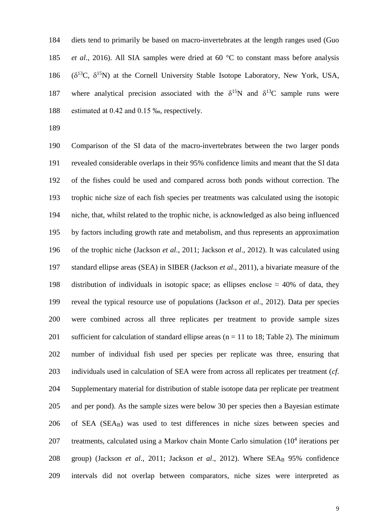diets tend to primarily be based on macro-invertebrates at the length ranges used (Guo *et al*., 2016). All SIA samples were dried at 60 °C to constant mass before analysis 186 ( $\delta^{13}C$ ,  $\delta^{15}N$ ) at the Cornell University Stable Isotope Laboratory, New York, USA, 187 where analytical precision associated with the  $\delta^{15}N$  and  $\delta^{13}C$  sample runs were estimated at 0.42 and 0.15 ‰, respectively.

 Comparison of the SI data of the macro-invertebrates between the two larger ponds revealed considerable overlaps in their 95% confidence limits and meant that the SI data of the fishes could be used and compared across both ponds without correction. The trophic niche size of each fish species per treatments was calculated using the isotopic niche, that, whilst related to the trophic niche, is acknowledged as also being influenced by factors including growth rate and metabolism, and thus represents an approximation of the trophic niche (Jackson *et al*., 2011; Jackson *et al*., 2012). It was calculated using standard ellipse areas (SEA) in SIBER (Jackson *et al*., 2011), a bivariate measure of the 198 distribution of individuals in isotopic space; as ellipses enclose  $\approx$  40% of data, they reveal the typical resource use of populations (Jackson *et al*., 2012). Data per species were combined across all three replicates per treatment to provide sample sizes 201 sufficient for calculation of standard ellipse areas ( $n = 11$  to 18; Table 2). The minimum number of individual fish used per species per replicate was three, ensuring that individuals used in calculation of SEA were from across all replicates per treatment (*cf*. Supplementary material for distribution of stable isotope data per replicate per treatment and per pond). As the sample sizes were below 30 per species then a Bayesian estimate of SEA (SEAB) was used to test differences in niche sizes between species and 207 treatments, calculated using a Markov chain Monte Carlo simulation  $(10^4$  iterations per 208 group) (Jackson *et al.*, 2011; Jackson *et al.*, 2012). Where SEA<sub>B</sub> 95% confidence intervals did not overlap between comparators, niche sizes were interpreted as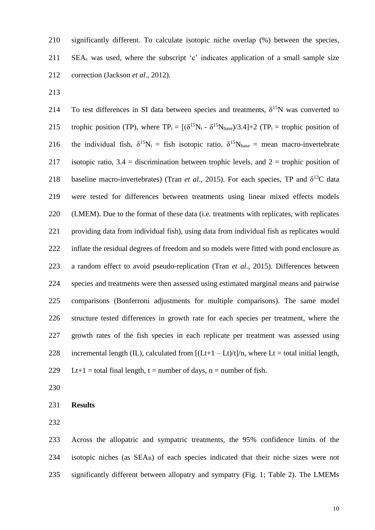significantly different. To calculate isotopic niche overlap (%) between the species, SEA<sub>c</sub> was used, where the subscript 'c' indicates application of a small sample size correction (Jackson *et al*., 2012).

214 To test differences in SI data between species and treatments,  $\delta^{15}N$  was converted to 215 trophic position (TP), where  $TP_i = [(\delta^{15}N_i - \delta^{15}N_{base})/3.4]+2$  (TP<sub>i</sub> = trophic position of 216 the individual fish,  $\delta^{15}N_i =$  fish isotopic ratio,  $\delta^{15}N_{base} =$  mean macro-invertebrate 217 isotopic ratio,  $3.4$  = discrimination between trophic levels, and  $2$  = trophic position of 218 baseline macro-invertebrates) (Tran *et al.*, 2015). For each species, TP and  $\delta^{13}C$  data were tested for differences between treatments using linear mixed effects models (LMEM). Due to the format of these data (i.e. treatments with replicates, with replicates 221 providing data from individual fish), using data from individual fish as replicates would inflate the residual degrees of freedom and so models were fitted with pond enclosure as a random effect to avoid pseudo-replication (Tran *et al*., 2015). Differences between species and treatments were then assessed using estimated marginal means and pairwise comparisons (Bonferroni adjustments for multiple comparisons). The same model structure tested differences in growth rate for each species per treatment, where the growth rates of the fish species in each replicate per treatment was assessed using 228 incremental length (IL), calculated from  $[(Lt+1-Lt)/t]/n$ , where Lt = total initial length, 229 Lt+1 = total final length, t = number of days, n = number of fish.

#### **Results**

 Across the allopatric and sympatric treatments, the 95% confidence limits of the isotopic niches (as SEAB) of each species indicated that their niche sizes were not significantly different between allopatry and sympatry (Fig. 1; Table 2). The LMEMs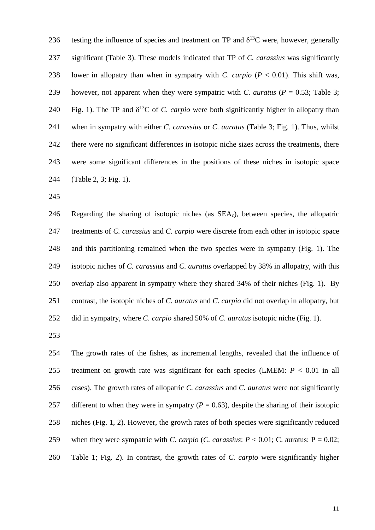236 testing the influence of species and treatment on TP and  $\delta^{13}$ C were, however, generally significant (Table 3). These models indicated that TP of *C. carassius* was significantly 238 lower in allopatry than when in sympatry with *C. carpio*  $(P < 0.01)$ . This shift was, 239 however, not apparent when they were sympatric with *C. auratus* ( $P = 0.53$ ; Table 3; 240 Fig. 1). The TP and  $\delta^{13}C$  of *C. carpio* were both significantly higher in allopatry than when in sympatry with either *C. carassius* or *C. auratus* (Table 3; Fig. 1). Thus, whilst there were no significant differences in isotopic niche sizes across the treatments, there were some significant differences in the positions of these niches in isotopic space (Table 2, 3; Fig. 1).

 Regarding the sharing of isotopic niches (as SEAc), between species, the allopatric treatments of *C. carassius* and *C. carpio* were discrete from each other in isotopic space and this partitioning remained when the two species were in sympatry (Fig. 1). The isotopic niches of *C. carassius* and *C. auratus* overlapped by 38% in allopatry, with this overlap also apparent in sympatry where they shared 34% of their niches (Fig. 1). By contrast, the isotopic niches of *C. auratus* and *C. carpio* did not overlap in allopatry, but did in sympatry, where *C. carpio* shared 50% of *C. auratus* isotopic niche (Fig. 1).

 The growth rates of the fishes, as incremental lengths, revealed that the influence of treatment on growth rate was significant for each species (LMEM: *P* < 0.01 in all cases). The growth rates of allopatric *C. carassius* and *C. auratus* were not significantly 257 different to when they were in sympatry  $(P = 0.63)$ , despite the sharing of their isotopic niches (Fig. 1, 2). However, the growth rates of both species were significantly reduced 259 when they were sympatric with *C. carpio* (*C. carassius*:  $P < 0.01$ ; C. auratus:  $P = 0.02$ ; Table 1; Fig. 2). In contrast, the growth rates of *C. carpio* were significantly higher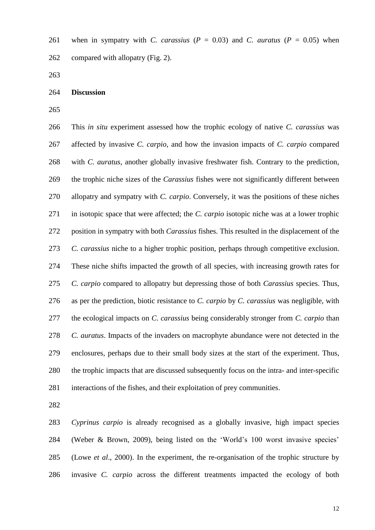261 when in sympatry with *C. carassius* ( $P = 0.03$ ) and *C. auratus* ( $P = 0.05$ ) when compared with allopatry (Fig. 2).

**Discussion**

 This *in situ* experiment assessed how the trophic ecology of native *C. carassius* was affected by invasive *C. carpio*, and how the invasion impacts of *C. carpio* compared with *C. auratus*, another globally invasive freshwater fish. Contrary to the prediction, the trophic niche sizes of the *Carassius* fishes were not significantly different between allopatry and sympatry with *C. carpio*. Conversely, it was the positions of these niches in isotopic space that were affected; the *C. carpio* isotopic niche was at a lower trophic position in sympatry with both *Carassius* fishes. This resulted in the displacement of the *C. carassius* niche to a higher trophic position, perhaps through competitive exclusion. These niche shifts impacted the growth of all species, with increasing growth rates for *C. carpio* compared to allopatry but depressing those of both *Carassius* species. Thus, as per the prediction, biotic resistance to *C. carpio* by *C. carassius* was negligible, with the ecological impacts on *C. carassius* being considerably stronger from *C. carpio* than *C. auratus*. Impacts of the invaders on macrophyte abundance were not detected in the enclosures, perhaps due to their small body sizes at the start of the experiment. Thus, the trophic impacts that are discussed subsequently focus on the intra- and inter-specific interactions of the fishes, and their exploitation of prey communities.

 *Cyprinus carpio* is already recognised as a globally invasive, high impact species (Weber & Brown, 2009), being listed on the 'World's 100 worst invasive species' (Lowe *et al*., 2000). In the experiment, the re-organisation of the trophic structure by invasive *C. carpio* across the different treatments impacted the ecology of both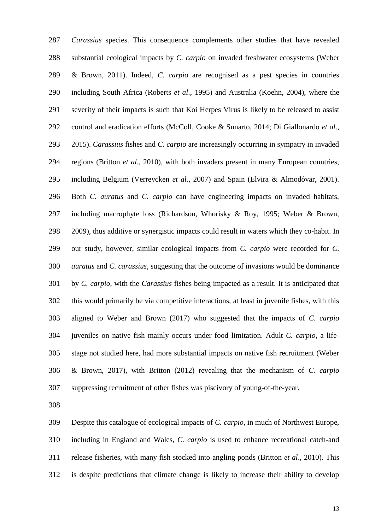*Carassius* species. This consequence complements other studies that have revealed substantial ecological impacts by *C. carpio* on invaded freshwater ecosystems (Weber & Brown, 2011). Indeed, *C. carpio* are recognised as a pest species in countries including South Africa (Roberts *et al*., 1995) and Australia (Koehn, 2004), where the severity of their impacts is such that Koi Herpes Virus is likely to be released to assist control and eradication efforts (McColl, Cooke & Sunarto, 2014; Di Giallonardo *et al*., 2015). *Carassius* fishes and *C. carpio* are increasingly occurring in sympatry in invaded regions (Britton *et al*., 2010), with both invaders present in many European countries, including Belgium (Verreycken *et al*., 2007) and Spain (Elvira & Almodóvar, 2001). Both *C. auratus* and *C. carpio* can have engineering impacts on invaded habitats, including macrophyte loss (Richardson, Whorisky & Roy, 1995; Weber & Brown, 2009), thus additive or synergistic impacts could result in waters which they co-habit. In our study, however, similar ecological impacts from *C. carpio* were recorded for *C. auratus* and *C. carassius*, suggesting that the outcome of invasions would be dominance by *C. carpio*, with the *Carassius* fishes being impacted as a result. It is anticipated that this would primarily be via competitive interactions, at least in juvenile fishes, with this aligned to Weber and Brown (2017) who suggested that the impacts of *C. carpio* juveniles on native fish mainly occurs under food limitation. Adult *C. carpio*, a life- stage not studied here, had more substantial impacts on native fish recruitment (Weber & Brown, 2017), with Britton (2012) revealing that the mechanism of *C. carpio* suppressing recruitment of other fishes was piscivory of young-of-the-year.

 Despite this catalogue of ecological impacts of *C. carpio*, in much of Northwest Europe, including in England and Wales, *C. carpio* is used to enhance recreational catch-and release fisheries, with many fish stocked into angling ponds (Britton *et al*., 2010). This is despite predictions that climate change is likely to increase their ability to develop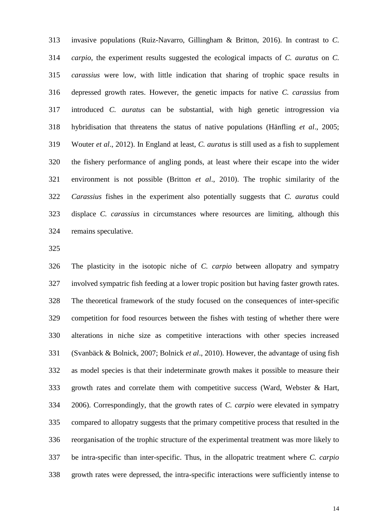invasive populations (Ruiz-Navarro, Gillingham & Britton, 2016). In contrast to *C. carpio*, the experiment results suggested the ecological impacts of *C. auratus* on *C. carassius* were low, with little indication that sharing of trophic space results in depressed growth rates. However, the genetic impacts for native *C. carassius* from introduced *C. auratus* can be substantial, with high genetic introgression via hybridisation that threatens the status of native populations (Hänfling *et al*., 2005; Wouter *et al*., 2012). In England at least, *C. auratus* is still used as a fish to supplement the fishery performance of angling ponds, at least where their escape into the wider environment is not possible (Britton *et al*., 2010). The trophic similarity of the *Carassius* fishes in the experiment also potentially suggests that *C. auratus* could displace *C. carassius* in circumstances where resources are limiting, although this remains speculative.

 The plasticity in the isotopic niche of *C. carpio* between allopatry and sympatry involved sympatric fish feeding at a lower tropic position but having faster growth rates. The theoretical framework of the study focused on the consequences of inter-specific competition for food resources between the fishes with testing of whether there were alterations in niche size as competitive interactions with other species increased (Svanbäck & Bolnick, 2007; Bolnick *et al*., 2010). However, the advantage of using fish as model species is that their indeterminate growth makes it possible to measure their growth rates and correlate them with competitive success (Ward, Webster & Hart, 2006). Correspondingly, that the growth rates of *C. carpio* were elevated in sympatry compared to allopatry suggests that the primary competitive process that resulted in the reorganisation of the trophic structure of the experimental treatment was more likely to be intra-specific than inter-specific. Thus, in the allopatric treatment where *C. carpio*  growth rates were depressed, the intra-specific interactions were sufficiently intense to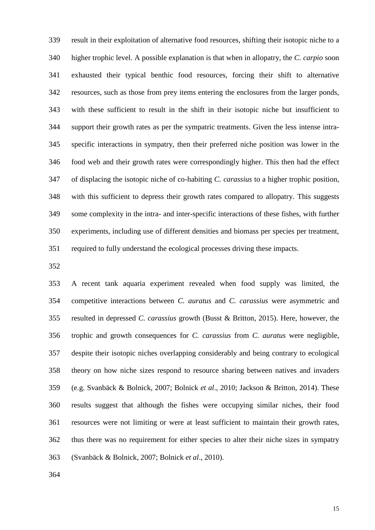result in their exploitation of alternative food resources, shifting their isotopic niche to a higher trophic level. A possible explanation is that when in allopatry, the *C. carpio* soon exhausted their typical benthic food resources, forcing their shift to alternative resources, such as those from prey items entering the enclosures from the larger ponds, with these sufficient to result in the shift in their isotopic niche but insufficient to support their growth rates as per the sympatric treatments. Given the less intense intra- specific interactions in sympatry, then their preferred niche position was lower in the food web and their growth rates were correspondingly higher. This then had the effect of displacing the isotopic niche of co-habiting *C. carassius* to a higher trophic position, with this sufficient to depress their growth rates compared to allopatry. This suggests some complexity in the intra- and inter-specific interactions of these fishes, with further experiments, including use of different densities and biomass per species per treatment, required to fully understand the ecological processes driving these impacts.

 A recent tank aquaria experiment revealed when food supply was limited, the competitive interactions between *C. auratus* and *C. carassius* were asymmetric and resulted in depressed *C. carassius* growth (Busst & Britton, 2015). Here, however, the trophic and growth consequences for *C. carassius* from *C. auratus* were negligible, despite their isotopic niches overlapping considerably and being contrary to ecological theory on how niche sizes respond to resource sharing between natives and invaders (e.g. Svanbäck & Bolnick, 2007; Bolnick *et al*., 2010; Jackson & Britton, 2014). These results suggest that although the fishes were occupying similar niches, their food resources were not limiting or were at least sufficient to maintain their growth rates, thus there was no requirement for either species to alter their niche sizes in sympatry (Svanbäck & Bolnick, 2007; Bolnick *et al*., 2010).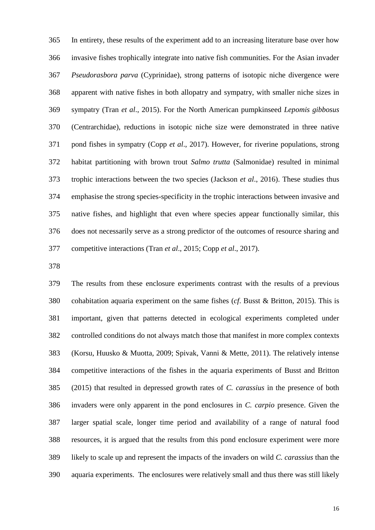In entirety, these results of the experiment add to an increasing literature base over how invasive fishes trophically integrate into native fish communities. For the Asian invader *Pseudorasbora parva* (Cyprinidae), strong patterns of isotopic niche divergence were apparent with native fishes in both allopatry and sympatry, with smaller niche sizes in sympatry (Tran *et al*., 2015). For the North American pumpkinseed *Lepomis gibbosus* (Centrarchidae), reductions in isotopic niche size were demonstrated in three native pond fishes in sympatry (Copp *et al*., 2017). However, for riverine populations, strong habitat partitioning with brown trout *Salmo trutta* (Salmonidae) resulted in minimal trophic interactions between the two species (Jackson *et al*., 2016). These studies thus emphasise the strong species-specificity in the trophic interactions between invasive and native fishes, and highlight that even where species appear functionally similar, this does not necessarily serve as a strong predictor of the outcomes of resource sharing and competitive interactions (Tran *et al*., 2015; Copp *et al*., 2017).

 The results from these enclosure experiments contrast with the results of a previous cohabitation aquaria experiment on the same fishes (*cf*. Busst & Britton, 2015). This is important, given that patterns detected in ecological experiments completed under controlled conditions do not always match those that manifest in more complex contexts (Korsu, Huusko & Muotta, 2009; Spivak, Vanni & Mette, 2011). The relatively intense competitive interactions of the fishes in the aquaria experiments of Busst and Britton (2015) that resulted in depressed growth rates of *C. carassius* in the presence of both invaders were only apparent in the pond enclosures in *C. carpio* presence. Given the larger spatial scale, longer time period and availability of a range of natural food resources, it is argued that the results from this pond enclosure experiment were more likely to scale up and represent the impacts of the invaders on wild *C. carassius* than the aquaria experiments. The enclosures were relatively small and thus there was still likely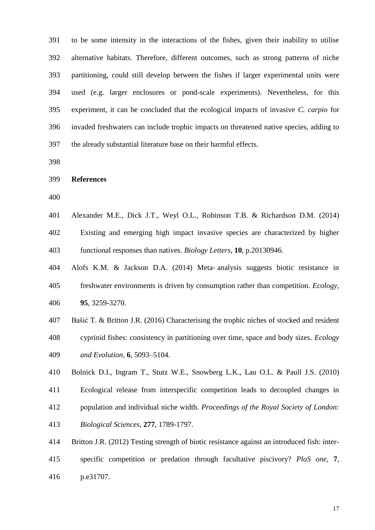to be some intensity in the interactions of the fishes, given their inability to utilise alternative habitats. Therefore, different outcomes, such as strong patterns of niche partitioning, could still develop between the fishes if larger experimental units were used (e.g. larger enclosures or pond-scale experiments). Nevertheless, for this experiment, it can be concluded that the ecological impacts of invasive *C. carpio* for invaded freshwaters can include trophic impacts on threatened native species, adding to the already substantial literature base on their harmful effects.

**References**

 Alexander M.E., Dick J.T., Weyl O.L., Robinson T.B. & Richardson D.M. (2014) Existing and emerging high impact invasive species are characterized by higher functional responses than natives. *Biology Letters,* **10**, p.20130946.

Alofs K.M. & Jackson D.A. (2014) Meta‐ analysis suggests biotic resistance in

 freshwater environments is driven by consumption rather than competition. *Ecology*, **95**, 3259-3270.

 Bašić T. & Britton J.R. (2016) Characterising the trophic niches of stocked and resident cyprinid fishes: consistency in partitioning over time, space and body sizes. *Ecology and Evolution,* **6**, 5093–5104.

Bolnick D.I., Ingram T., Stutz W.E., Snowberg L.K., Lau O.L. & Paull J.S. (2010)

Ecological release from interspecific competition leads to decoupled changes in

 population and individual niche width. *Proceedings of the Royal Society of London: Biological Sciences*, **277**, 1789-1797.

 Britton J.R. (2012) Testing strength of biotic resistance against an introduced fish: inter- specific competition or predation through facultative piscivory? *PloS one*, **7**, p.e31707.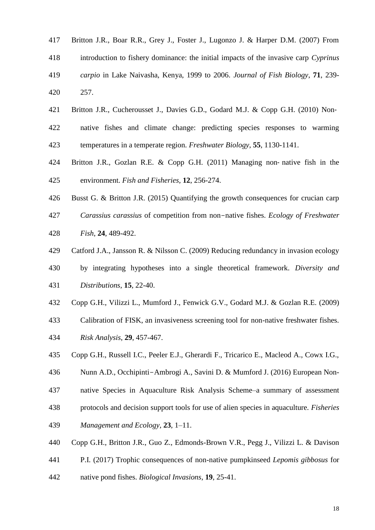- Britton J.R., Boar R.R., Grey J., Foster J., Lugonzo J. & Harper D.M. (2007) From introduction to fishery dominance: the initial impacts of the invasive carp *Cyprinus carpio* in Lake Naivasha, Kenya, 1999 to 2006. *Journal of Fish Biology*, **71**, 239- 257.
- 421 Britton J.R., Cucherousset J., Davies G.D., Godard M.J. & Copp G.H. (2010) Non- native fishes and climate change: predicting species responses to warming temperatures in a temperate region. *Freshwater Biology*, **55**, 1130-1141.
- Britton J.R., Gozlan R.E. & Copp G.H. (2011) Managing non‐ native fish in the environment. *Fish and Fisheries,* **12**, 256-274.
- Busst G. & Britton J.R. (2015) Quantifying the growth consequences for crucian carp
- *Carassius carassius* of competition from non-native fishes. *Ecology of Freshwater Fish*, **24**, 489-492.
- Catford J.A., Jansson R. & Nilsson C. (2009) Reducing redundancy in invasion ecology
- by integrating hypotheses into a single theoretical framework. *Diversity and Distributions*, **15**, 22-40.
- Copp G.H., Vilizzi L., Mumford J., Fenwick G.V., Godard M.J. & Gozlan R.E. (2009)
- Calibration of FISK, an invasiveness screening tool for non-native freshwater fishes. *Risk Analysis*, **29**, 457-467.
- Copp G.H., Russell I.C., Peeler E.J., Gherardi F., Tricarico E., Macleod A., Cowx I.G.,
- Nunn A.D., Occhipinti-Ambrogi A., Savini D. & Mumford J. (2016) European Non-
- native Species in Aquaculture Risk Analysis Scheme–a summary of assessment
- protocols and decision support tools for use of alien species in aquaculture. *Fisheries Management and Ecology*, **23**, 1–11.
- Copp G.H., Britton J.R., Guo Z., Edmonds-Brown V.R., Pegg J., Vilizzi L. & Davison
- P.I. (2017) Trophic consequences of non-native pumpkinseed *Lepomis gibbosus* for
- native pond fishes. *Biological Invasions*, **19**, 25-41.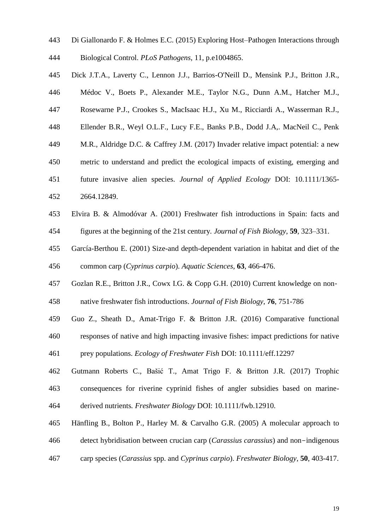- Di Giallonardo F. & Holmes E.C. (2015) Exploring Host–Pathogen Interactions through Biological Control. *PLoS Pathogens*, 11, p.e1004865.
- Dick J.T.A., Laverty C., Lennon J.J., Barrios-O'Neill D., Mensink P.J., Britton J.R.,
- Médoc V., Boets P., Alexander M.E., Taylor N.G., Dunn A.M., Hatcher M.J.,
- Rosewarne P.J., Crookes S., MacIsaac H.J., Xu M., Ricciardi A., Wasserman R.J.,
- Ellender B.R., Weyl O.L.F., Lucy F.E., Banks P.B., Dodd J.A,. MacNeil C., Penk
- M.R., Aldridge D.C. & Caffrey J.M. (2017) Invader relative impact potential: a new
- metric to understand and predict the ecological impacts of existing, emerging and
- future invasive alien species. *Journal of Applied Ecology* DOI: 10.1111/1365-
- 2664.12849.
- Elvira B. & Almodóvar A. (2001) Freshwater fish introductions in Spain: facts and figures at the beginning of the 21st century*. Journal of Fish Biology*, **59**, 323–331.
- García-Berthou E. (2001) Size-and depth-dependent variation in habitat and diet of the common carp (*Cyprinus carpio*). *Aquatic Sciences*, **63**, 466-476.
- Gozlan R.E., Britton J.R., Cowx I.G. & Copp G.H. (2010) Current knowledge on non‐
- native freshwater fish introductions. *Journal of Fish Biology*, **76**, 751-786
- Guo Z., Sheath D., Amat-Trigo F. & Britton J.R. (2016) Comparative functional responses of native and high impacting invasive fishes: impact predictions for native
- prey populations. *Ecology of Freshwater Fish* DOI: 10.1111/eff.12297
- Gutmann Roberts C.*,* Bašić T.*,* Amat Trigo F. & Britton J.R*.* (2017) Trophic consequences for riverine cyprinid fishes of angler subsidies based on marine-derived nutrients*. Freshwater Biology* DOI: 10.1111/fwb.12910.
- Hänfling B., Bolton P., Harley M. & Carvalho G.R. (2005) A molecular approach to detect hybridisation between crucian carp (*Carassius carassius*) and non-indigenous
- carp species (*Carassius* spp. and *Cyprinus carpio*). *Freshwater Biology,* **50**, 403-417.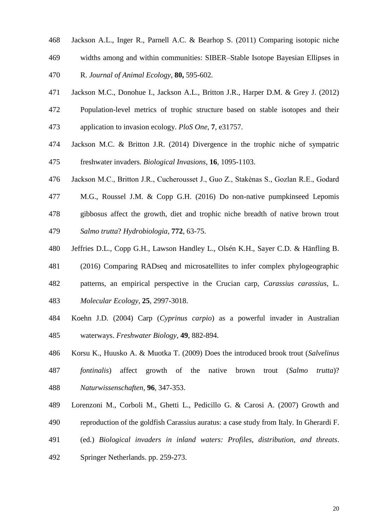- Jackson A.L., Inger R., Parnell A.C. & Bearhop S. (2011) Comparing isotopic niche widths among and within communities: SIBER–Stable Isotope Bayesian Ellipses in
- R. *Journal of Animal Ecology*, **80,** 595-602.
- Jackson M.C., Donohue I., Jackson A.L., Britton J.R., Harper D.M. & Grey J. (2012)
- Population-level metrics of trophic structure based on stable isotopes and their application to invasion ecology. *PloS One*, **7**, e31757.
- Jackson M.C. & Britton J.R. (2014) Divergence in the trophic niche of sympatric freshwater invaders. *Biological Invasions*, **16**, 1095-1103.
- Jackson M.C., Britton J.R., Cucherousset J., Guo Z., Stakėnas S., Gozlan R.E., Godard
- M.G., Roussel J.M. & Copp G.H. (2016) Do non-native pumpkinseed Lepomis
- gibbosus affect the growth, diet and trophic niche breadth of native brown trout *Salmo trutta*? *Hydrobiologia*, **772**, 63-75.
- Jeffries D.L., Copp G.H., Lawson Handley L., Olsén K.H., Sayer C.D. & Hänfling B.
- (2016) Comparing RADseq and microsatellites to infer complex phylogeographic
- patterns, an empirical perspective in the Crucian carp, *Carassius carassius*, L.
- *Molecular Ecology*, **25**, 2997-3018.
- Koehn J.D. (2004) Carp (*Cyprinus carpio*) as a powerful invader in Australian waterways. *Freshwater Biology*, **49**, 882-894.
- Korsu K., Huusko A. & Muotka T. (2009) Does the introduced brook trout (*Salvelinus*
- *fontinalis*) affect growth of the native brown trout (*Salmo trutta*)? *Naturwissenschaften*, **96**, 347-353.
- Lorenzoni M., Corboli M., Ghetti L., Pedicillo G. & Carosi A. (2007) Growth and
- reproduction of the goldfish Carassius auratus: a case study from Italy. In Gherardi F.
- (ed.) *Biological invaders in inland waters: Profiles, distribution, and threats*. Springer Netherlands. pp. 259-273.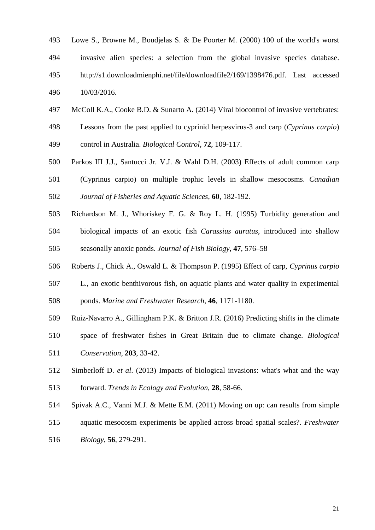- Lowe S., Browne M., Boudjelas S. & De Poorter M. (2000) 100 of the world's worst invasive alien species: a selection from the global invasive species database. http://s1.downloadmienphi.net/file/downloadfile2/169/1398476.pdf. Last accessed 10/03/2016.
- McColl K.A., Cooke B.D. & Sunarto A. (2014) Viral biocontrol of invasive vertebrates:
- Lessons from the past applied to cyprinid herpesvirus-3 and carp (*Cyprinus carpio*) control in Australia. *Biological Control*, **72**, 109-117.
- Parkos III J.J., Santucci Jr. V.J. & Wahl D.H. (2003) Effects of adult common carp
- (Cyprinus carpio) on multiple trophic levels in shallow mesocosms. *Canadian Journal of Fisheries and Aquatic Sciences*, **60**, 182-192.
- Richardson M. J., Whoriskey F. G. & Roy L. H. (1995) Turbidity generation and biological impacts of an exotic fish *Carassius auratus*, introduced into shallow seasonally anoxic ponds. *Journal of Fish Biology*, **47**, 576–58
- Roberts J., Chick A., Oswald L. & Thompson P. (1995) Effect of carp, *Cyprinus carpio*
- L., an exotic benthivorous fish, on aquatic plants and water quality in experimental
- ponds. *Marine and Freshwater Research*, **46**, 1171-1180.
- Ruiz-Navarro A., Gillingham P.K. & Britton J.R. (2016) Predicting shifts in the climate
- space of freshwater fishes in Great Britain due to climate change. *Biological Conservation*, **203**, 33-42.
- Simberloff D. *et al*. (2013) Impacts of biological invasions: what's what and the way forward. *Trends in Ecology and Evolution*, **28***,* 58-66.
- Spivak A.C., Vanni M.J. & Mette E.M. (2011) Moving on up: can results from simple
- aquatic mesocosm experiments be applied across broad spatial scales?. *Freshwater*
- *Biology*, **56**, 279-291.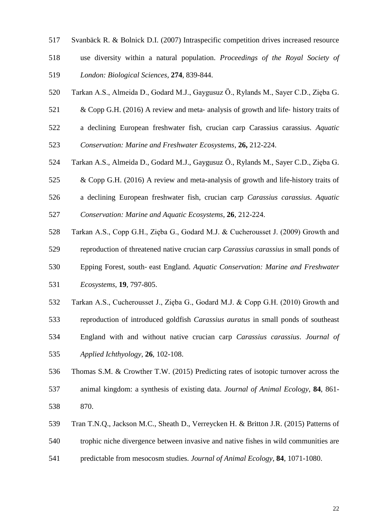- Svanbäck R. & Bolnick D.I. (2007) Intraspecific competition drives increased resource
- use diversity within a natural population. *Proceedings of the Royal Society of London: Biological Sciences*, **274**, 839-844.
- Tarkan A.S., Almeida D., Godard M.J., Gaygusuz Ö., Rylands M., Sayer C.D., Zięba G.
- 521 & Copp G.H. (2016) A review and meta- analysis of growth and life-history traits of
- a declining European freshwater fish, crucian carp Carassius carassius. *Aquatic*
- *Conservation: Marine and Freshwater Ecosystems*, **26,** 212-224.
- Tarkan A.S., Almeida D., Godard M.J., Gaygusuz Ö., Rylands M., Sayer C.D., Zięba G.
- & Copp G.H. (2016) A review and meta-analysis of growth and life-history traits of
- a declining European freshwater fish, crucian carp *Carassius carassius*. *Aquatic Conservation: Marine and Aquatic Ecosystems*, **26**, 212-224.
- Tarkan A.S., Copp G.H., Zięba G., Godard M.J. & Cucherousset J. (2009) Growth and
- reproduction of threatened native crucian carp *Carassius carassius* in small ponds of
- Epping Forest, south‐ east England. *Aquatic Conservation: Marine and Freshwater Ecosystems*, **19**, 797-805.
- Tarkan A.S., Cucherousset J., Zięba G., Godard M.J. & Copp G.H. (2010) Growth and
- reproduction of introduced goldfish *Carassius auratus* in small ponds of southeast England with and without native crucian carp *Carassius carassius*. *Journal of Applied Ichthyology*, **26**, 102-108.
- Thomas S.M. & Crowther T.W. (2015) Predicting rates of isotopic turnover across the
- animal kingdom: a synthesis of existing data. *Journal of Animal Ecology*, **84**, 861- 870.
- Tran T.N.Q., Jackson M.C., Sheath D., Verreycken H. & Britton J.R. (2015) Patterns of
- trophic niche divergence between invasive and native fishes in wild communities are
- predictable from mesocosm studies. *Journal of Animal Ecology*, **84**, 1071-1080.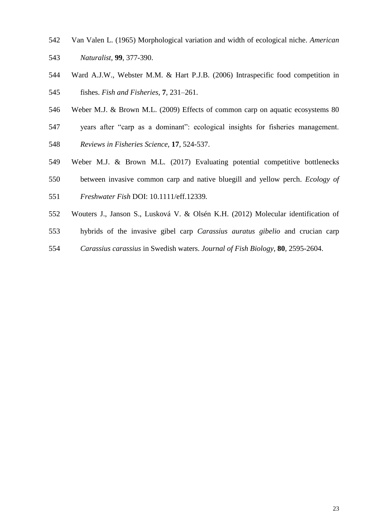- Van Valen L. (1965) Morphological variation and width of ecological niche. *American Naturalist,* **99**, 377-390.
- Ward A.J.W., Webster M.M. & Hart P.J.B. (2006) Intraspecific food competition in fishes. *Fish and Fisheries*, **7**, 231–261.
- Weber M.J. & Brown M.L. (2009) Effects of common carp on aquatic ecosystems 80
- years after "carp as a dominant": ecological insights for fisheries management. *Reviews in Fisheries Science,* **17**, 524-537.
- Weber M.J. & Brown M.L*.* (2017) Evaluating potential competitive bottlenecks
- between invasive common carp and native bluegill and yellow perch. *Ecology of*
- *Freshwater Fish* DOI: 10.1111/eff.12339*.*
- Wouters J., Janson S., Lusková V. & Olsén K.H. (2012) Molecular identification of
- hybrids of the invasive gibel carp *Carassius auratus gibelio* and crucian carp
- *Carassius carassius* in Swedish waters. *Journal of Fish Biology*, **80***,* 2595-2604.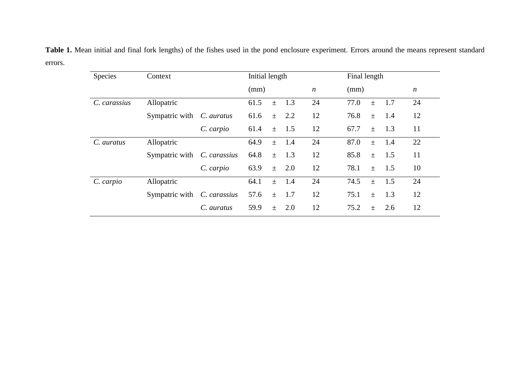**Table 1.** Mean initial and final fork lengths) of the fishes used in the pond enclosure experiment. Errors around the means represent standard errors.

| Species      | Context                          |              | Initial length |       |     |                  |      | Final length |     |                  |
|--------------|----------------------------------|--------------|----------------|-------|-----|------------------|------|--------------|-----|------------------|
|              |                                  |              | (mm)           |       |     | $\boldsymbol{n}$ | (mm) |              |     | $\boldsymbol{n}$ |
| C. carassius | Allopatric                       |              | 61.5           | $\pm$ | 1.3 | 24               | 77.0 | $\pm$        | 1.7 | 24               |
|              | Sympatric with <i>C. auratus</i> |              | 61.6           | $\pm$ | 2.2 | 12               | 76.8 | $\pm$        | 1.4 | 12               |
|              |                                  | C. carpio    | 61.4           | $\pm$ | 1.5 | 12               | 67.7 | $\pm$        | 1.3 | 11               |
| C. auratus   | Allopatric                       |              | 64.9           | $\pm$ | 1.4 | 24               | 87.0 | $\pm$        | 1.4 | 22               |
|              | Sympatric with                   | C. carassius | 64.8           | $\pm$ | 1.3 | 12               | 85.8 | $\pm$        | 1.5 | 11               |
|              |                                  | C. carpio    | 63.9           | $\pm$ | 2.0 | 12               | 78.1 | $\pm$        | 1.5 | 10               |
| C. carpio    | Allopatric                       |              | 64.1           | $\pm$ | 1.4 | 24               | 74.5 | $\pm$        | 1.5 | 24               |
|              | Sympatric with                   | C. carassius | 57.6           | $\pm$ | 1.7 | 12               | 75.1 | $\pm$        | 1.3 | 12               |
|              |                                  | C. auratus   | 59.9           | $+$   | 2.0 | 12               | 75.2 | $\pm$        | 2.6 | 12               |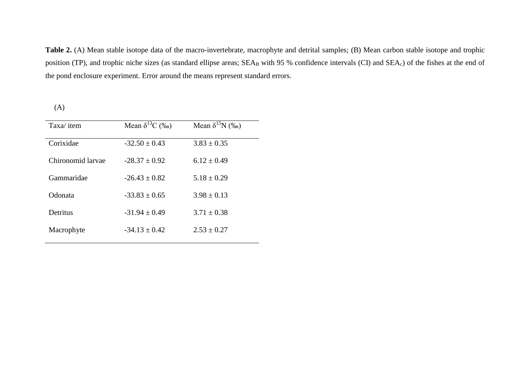Table 2. (A) Mean stable isotope data of the macro-invertebrate, macrophyte and detrital samples; (B) Mean carbon stable isotope and trophic position (TP), and trophic niche sizes (as standard ellipse areas; SEA<sub>B</sub> with 95 % confidence intervals (CI) and SEA<sub>c</sub>) of the fishes at the end of the pond enclosure experiment. Error around the means represent standard errors.

(A)

| Taxa/item         | Mean $\delta^{13}C$ (%o) | Mean $\delta^{15}N$ (%o) |
|-------------------|--------------------------|--------------------------|
| Corixidae         | $-32.50 \pm 0.43$        | $3.83 \pm 0.35$          |
| Chironomid larvae | $-28.37 + 0.92$          | $6.12 + 0.49$            |
| Gammaridae        | $-26.43 + 0.82$          | $5.18 \pm 0.29$          |
| Odonata           | $-33.83 + 0.65$          | $3.98 + 0.13$            |
| Detritus          | $-31.94 + 0.49$          | $3.71 \pm 0.38$          |
| Macrophyte        | $-34.13 + 0.42$          | $2.53 \pm 0.27$          |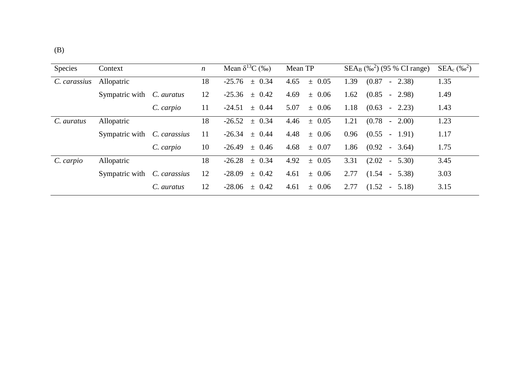| <b>Species</b> | Context                            |            | $\boldsymbol{n}$ | Mean $\delta^{13}C$ (‰) | Mean TP            | $SEA_B$ (% <sup>2</sup> ) (95 % CI range) | $SEA_c$ (% $^{2}$ ) |
|----------------|------------------------------------|------------|------------------|-------------------------|--------------------|-------------------------------------------|---------------------|
| C. carassius   | Allopatric                         |            | 18               | $-25.76$<br>$\pm$ 0.34  | 4.65<br>$\pm$ 0.05 | (0.87)<br>1.39<br>$-2.38$                 | 1.35                |
|                | Sympatric with <i>C. auratus</i>   |            | 12               | $-25.36$<br>$\pm$ 0.42  | 4.69<br>$\pm$ 0.06 | 1.62<br>(0.85)<br>$-2.98$                 | 1.49                |
|                |                                    | C. carpio  | 11               | $-24.51$<br>$\pm$ 0.44  | 5.07<br>$\pm$ 0.06 | 1.18<br>(0.63)<br>$-2.23$                 | 1.43                |
| C. auratus     | Allopatric                         |            | 18               | $-26.52$<br>$\pm$ 0.34  | 4.46<br>$\pm$ 0.05 | 1.21<br>(0.78)<br>$-2.00$                 | 1.23                |
|                | Sympatric with <i>C. carassius</i> |            | 11               | $-26.34 \pm 0.44$       | 4.48<br>$\pm$ 0.06 | 0.96<br>(0.55)<br>$-1.91$                 | 1.17                |
|                |                                    | C. carpio  | 10               | $-26.49 \pm 0.46$       | 4.68<br>$\pm$ 0.07 | 1.86<br>$(0.92 - 3.64)$                   | 1.75                |
| C. carpio      | Allopatric                         |            | 18               | $-26.28$<br>$\pm$ 0.34  | 4.92<br>$\pm$ 0.05 | 3.31<br>(2.02)<br>$-5.30$                 | 3.45                |
|                | Sympatric with <i>C. carassius</i> |            | 12               | $-28.09$<br>$\pm$ 0.42  | 4.61<br>$\pm$ 0.06 | 2.77<br>$(1.54 -$<br>5.38)                | 3.03                |
|                |                                    | C. auratus | 12               | $-28.06$<br>$\pm$ 0.42  | 4.61<br>$\pm$ 0.06 | 2.77<br>(1.52)<br>5.18)<br>$\sim$ $-$     | 3.15                |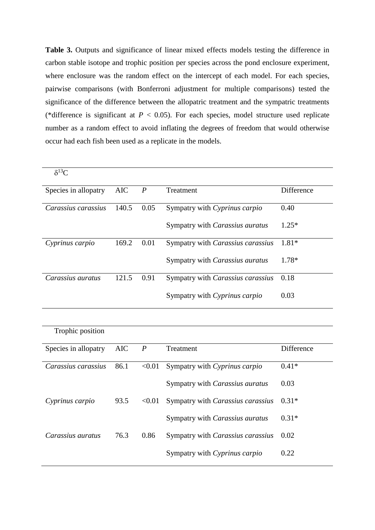Table 3. Outputs and significance of linear mixed effects models testing the difference in carbon stable isotope and trophic position per species across the pond enclosure experiment, where enclosure was the random effect on the intercept of each model. For each species, pairwise comparisons (with Bonferroni adjustment for multiple comparisons) tested the significance of the difference between the allopatric treatment and the sympatric treatments (\*difference is significant at  $P < 0.05$ ). For each species, model structure used replicate number as a random effect to avoid inflating the degrees of freedom that would otherwise occur had each fish been used as a replicate in the models.

| $\delta^{13}C$       |       |      |                                   |            |
|----------------------|-------|------|-----------------------------------|------------|
| Species in allopatry | AIC   | P    | Treatment                         | Difference |
| Carassius carassius  | 140.5 | 0.05 | Sympatry with Cyprinus carpio     | 0.40       |
|                      |       |      | Sympatry with Carassius auratus   | $1.25*$    |
| Cyprinus carpio      | 169.2 | 0.01 | Sympatry with Carassius carassius | $1.81*$    |
|                      |       |      | Sympatry with Carassius auratus   | 1.78*      |
| Carassius auratus    | 121.5 | 0.91 | Sympatry with Carassius carassius | 0.18       |
|                      |       |      | Sympatry with Cyprinus carpio     | 0.03       |

| Trophic position     |      |                  |                                          |            |
|----------------------|------|------------------|------------------------------------------|------------|
| Species in allopatry | AIC  | $\boldsymbol{P}$ | Treatment                                | Difference |
| Carassius carassius  | 86.1 | < 0.01           | Sympatry with Cyprinus carpio            | $0.41*$    |
|                      |      |                  | Sympatry with Carassius auratus          | 0.03       |
| Cyprinus carpio      | 93.5 | < 0.01           | Sympatry with <i>Carassius carassius</i> | $0.31*$    |
|                      |      |                  | Sympatry with Carassius auratus          | $0.31*$    |
| Carassius auratus    | 76.3 | 0.86             | Sympatry with <i>Carassius carassius</i> | 0.02       |
|                      |      |                  | Sympatry with Cyprinus carpio            | 0.22       |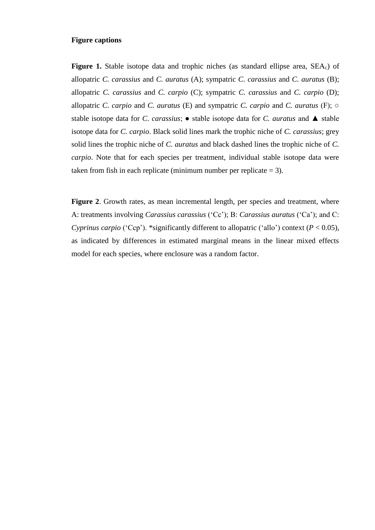# **Figure captions**

**Figure 1.** Stable isotope data and trophic niches (as standard ellipse area, SEA<sub>c</sub>) of allopatric *C. carassius* and *C. auratus* (A); sympatric *C. carassius* and *C. auratus* (B); allopatric *C. carassius* and *C. carpio* (C); sympatric *C. carassius* and *C. carpio* (D); allopatric *C. carpio* and *C. auratus* (E) and sympatric *C. carpio* and *C. auratus* (F); ○ stable isotope data for *C. carassius*; ● stable isotope data for *C. auratus* and ▲ stable isotope data for *C. carpio*. Black solid lines mark the trophic niche of *C. carassius*; grey solid lines the trophic niche of *C. auratus* and black dashed lines the trophic niche of *C. carpio*. Note that for each species per treatment, individual stable isotope data were taken from fish in each replicate (minimum number per replicate  $= 3$ ).

Figure 2. Growth rates, as mean incremental length, per species and treatment, where A: treatments involving *Carassius carassius* ('Cc'); B: *Carassius auratus* ('Ca'); and C: *Cyprinus carpio* ('Ccp'). \*significantly different to allopatric ('allo') context ( $P < 0.05$ ), as indicated by differences in estimated marginal means in the linear mixed effects model for each species, where enclosure was a random factor.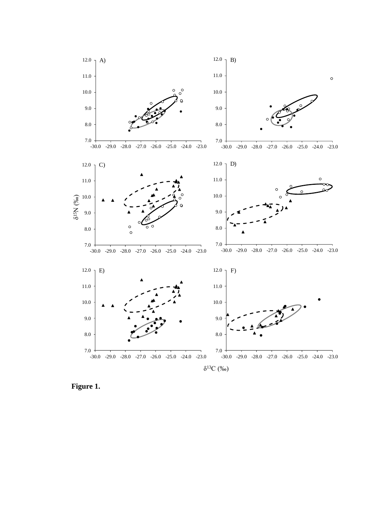

**Figure 1.**